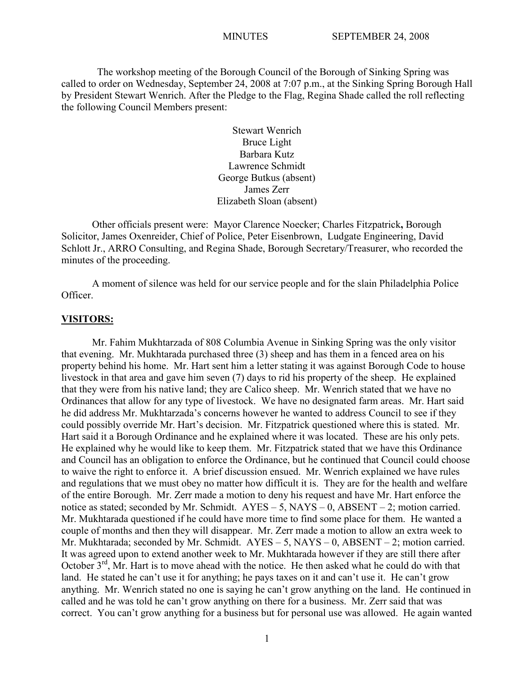The workshop meeting of the Borough Council of the Borough of Sinking Spring was called to order on Wednesday, September 24, 2008 at 7:07 p.m., at the Sinking Spring Borough Hall by President Stewart Wenrich. After the Pledge to the Flag, Regina Shade called the roll reflecting the following Council Members present:

> Stewart Wenrich Bruce Light Barbara Kutz Lawrence Schmidt George Butkus (absent) James Zerr Elizabeth Sloan (absent)

Other officials present were: Mayor Clarence Noecker; Charles Fitzpatrick**,** Borough Solicitor, James Oxenreider, Chief of Police, Peter Eisenbrown, Ludgate Engineering, David Schlott Jr., ARRO Consulting, and Regina Shade, Borough Secretary/Treasurer, who recorded the minutes of the proceeding.

A moment of silence was held for our service people and for the slain Philadelphia Police Officer.

#### **VISITORS:**

Mr. Fahim Mukhtarzada of 808 Columbia Avenue in Sinking Spring was the only visitor that evening. Mr. Mukhtarada purchased three (3) sheep and has them in a fenced area on his property behind his home. Mr. Hart sent him a letter stating it was against Borough Code to house livestock in that area and gave him seven (7) days to rid his property of the sheep. He explained that they were from his native land; they are Calico sheep. Mr. Wenrich stated that we have no Ordinances that allow for any type of livestock. We have no designated farm areas. Mr. Hart said he did address Mr. Mukhtarzada's concerns however he wanted to address Council to see if they could possibly override Mr. Hart's decision. Mr. Fitzpatrick questioned where this is stated. Mr. Hart said it a Borough Ordinance and he explained where it was located. These are his only pets. He explained why he would like to keep them. Mr. Fitzpatrick stated that we have this Ordinance and Council has an obligation to enforce the Ordinance, but he continued that Council could choose to waive the right to enforce it. A brief discussion ensued. Mr. Wenrich explained we have rules and regulations that we must obey no matter how difficult it is. They are for the health and welfare of the entire Borough. Mr. Zerr made a motion to deny his request and have Mr. Hart enforce the notice as stated; seconded by Mr. Schmidt. AYES – 5, NAYS – 0, ABSENT – 2; motion carried. Mr. Mukhtarada questioned if he could have more time to find some place for them. He wanted a couple of months and then they will disappear. Mr. Zerr made a motion to allow an extra week to Mr. Mukhtarada; seconded by Mr. Schmidt. AYES – 5, NAYS – 0, ABSENT – 2; motion carried. It was agreed upon to extend another week to Mr. Mukhtarada however if they are still there after October 3<sup>rd</sup>, Mr. Hart is to move ahead with the notice. He then asked what he could do with that land. He stated he can't use it for anything; he pays taxes on it and can't use it. He can't grow anything. Mr. Wenrich stated no one is saying he can't grow anything on the land. He continued in called and he was told he can't grow anything on there for a business. Mr. Zerr said that was correct. You can't grow anything for a business but for personal use was allowed. He again wanted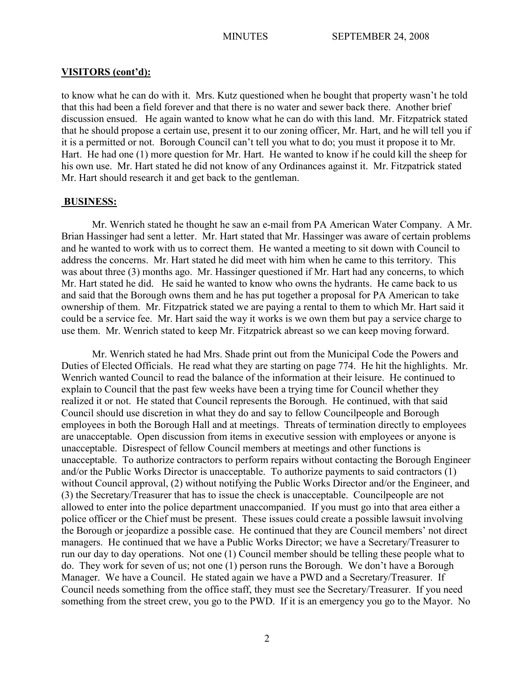### **VISITORS (cont'd):**

to know what he can do with it. Mrs. Kutz questioned when he bought that property wasn't he told that this had been a field forever and that there is no water and sewer back there. Another brief discussion ensued. He again wanted to know what he can do with this land. Mr. Fitzpatrick stated that he should propose a certain use, present it to our zoning officer, Mr. Hart, and he will tell you if it is a permitted or not. Borough Council can't tell you what to do; you must it propose it to Mr. Hart. He had one (1) more question for Mr. Hart. He wanted to know if he could kill the sheep for his own use. Mr. Hart stated he did not know of any Ordinances against it. Mr. Fitzpatrick stated Mr. Hart should research it and get back to the gentleman.

#### **BUSINESS:**

Mr. Wenrich stated he thought he saw an e-mail from PA American Water Company. A Mr. Brian Hassinger had sent a letter. Mr. Hart stated that Mr. Hassinger was aware of certain problems and he wanted to work with us to correct them. He wanted a meeting to sit down with Council to address the concerns. Mr. Hart stated he did meet with him when he came to this territory. This was about three (3) months ago. Mr. Hassinger questioned if Mr. Hart had any concerns, to which Mr. Hart stated he did. He said he wanted to know who owns the hydrants. He came back to us and said that the Borough owns them and he has put together a proposal for PA American to take ownership of them. Mr. Fitzpatrick stated we are paying a rental to them to which Mr. Hart said it could be a service fee. Mr. Hart said the way it works is we own them but pay a service charge to use them. Mr. Wenrich stated to keep Mr. Fitzpatrick abreast so we can keep moving forward.

Mr. Wenrich stated he had Mrs. Shade print out from the Municipal Code the Powers and Duties of Elected Officials. He read what they are starting on page 774. He hit the highlights. Mr. Wenrich wanted Council to read the balance of the information at their leisure. He continued to explain to Council that the past few weeks have been a trying time for Council whether they realized it or not. He stated that Council represents the Borough. He continued, with that said Council should use discretion in what they do and say to fellow Councilpeople and Borough employees in both the Borough Hall and at meetings. Threats of termination directly to employees are unacceptable. Open discussion from items in executive session with employees or anyone is unacceptable. Disrespect of fellow Council members at meetings and other functions is unacceptable. To authorize contractors to perform repairs without contacting the Borough Engineer and/or the Public Works Director is unacceptable. To authorize payments to said contractors (1) without Council approval, (2) without notifying the Public Works Director and/or the Engineer, and (3) the Secretary/Treasurer that has to issue the check is unacceptable. Councilpeople are not allowed to enter into the police department unaccompanied. If you must go into that area either a police officer or the Chief must be present. These issues could create a possible lawsuit involving the Borough or jeopardize a possible case. He continued that they are Council members' not direct managers. He continued that we have a Public Works Director; we have a Secretary/Treasurer to run our day to day operations. Not one (1) Council member should be telling these people what to do. They work for seven of us; not one (1) person runs the Borough. We don't have a Borough Manager. We have a Council. He stated again we have a PWD and a Secretary/Treasurer. If Council needs something from the office staff, they must see the Secretary/Treasurer. If you need something from the street crew, you go to the PWD. If it is an emergency you go to the Mayor. No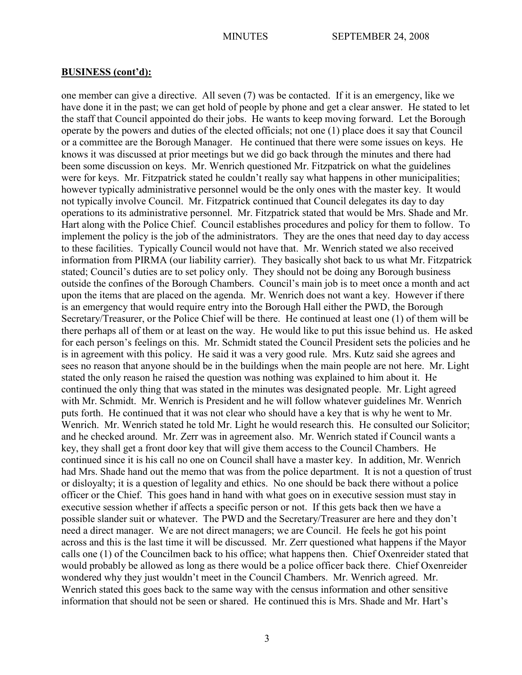one member can give a directive. All seven (7) was be contacted. If it is an emergency, like we have done it in the past; we can get hold of people by phone and get a clear answer. He stated to let the staff that Council appointed do their jobs. He wants to keep moving forward. Let the Borough operate by the powers and duties of the elected officials; not one (1) place does it say that Council or a committee are the Borough Manager. He continued that there were some issues on keys. He knows it was discussed at prior meetings but we did go back through the minutes and there had been some discussion on keys. Mr. Wenrich questioned Mr. Fitzpatrick on what the guidelines were for keys. Mr. Fitzpatrick stated he couldn't really say what happens in other municipalities; however typically administrative personnel would be the only ones with the master key. It would not typically involve Council. Mr. Fitzpatrick continued that Council delegates its day to day operations to its administrative personnel. Mr. Fitzpatrick stated that would be Mrs. Shade and Mr. Hart along with the Police Chief. Council establishes procedures and policy for them to follow. To implement the policy is the job of the administrators. They are the ones that need day to day access to these facilities. Typically Council would not have that. Mr. Wenrich stated we also received information from PIRMA (our liability carrier). They basically shot back to us what Mr. Fitzpatrick stated; Council's duties are to set policy only. They should not be doing any Borough business outside the confines of the Borough Chambers. Council's main job is to meet once a month and act upon the items that are placed on the agenda. Mr. Wenrich does not want a key. However if there is an emergency that would require entry into the Borough Hall either the PWD, the Borough Secretary/Treasurer, or the Police Chief will be there. He continued at least one (1) of them will be there perhaps all of them or at least on the way. He would like to put this issue behind us. He asked for each person's feelings on this. Mr. Schmidt stated the Council President sets the policies and he is in agreement with this policy. He said it was a very good rule. Mrs. Kutz said she agrees and sees no reason that anyone should be in the buildings when the main people are not here. Mr. Light stated the only reason he raised the question was nothing was explained to him about it. He continued the only thing that was stated in the minutes was designated people. Mr. Light agreed with Mr. Schmidt. Mr. Wenrich is President and he will follow whatever guidelines Mr. Wenrich puts forth. He continued that it was not clear who should have a key that is why he went to Mr. Wenrich. Mr. Wenrich stated he told Mr. Light he would research this. He consulted our Solicitor; and he checked around. Mr. Zerr was in agreement also. Mr. Wenrich stated if Council wants a key, they shall get a front door key that will give them access to the Council Chambers. He continued since it is his call no one on Council shall have a master key. In addition, Mr. Wenrich had Mrs. Shade hand out the memo that was from the police department. It is not a question of trust or disloyalty; it is a question of legality and ethics. No one should be back there without a police officer or the Chief. This goes hand in hand with what goes on in executive session must stay in executive session whether if affects a specific person or not. If this gets back then we have a possible slander suit or whatever. The PWD and the Secretary/Treasurer are here and they don't need a direct manager. We are not direct managers; we are Council. He feels he got his point across and this is the last time it will be discussed. Mr. Zerr questioned what happens if the Mayor calls one (1) of the Councilmen back to his office; what happens then. Chief Oxenreider stated that would probably be allowed as long as there would be a police officer back there. Chief Oxenreider wondered why they just wouldn't meet in the Council Chambers. Mr. Wenrich agreed. Mr. Wenrich stated this goes back to the same way with the census information and other sensitive information that should not be seen or shared. He continued this is Mrs. Shade and Mr. Hart's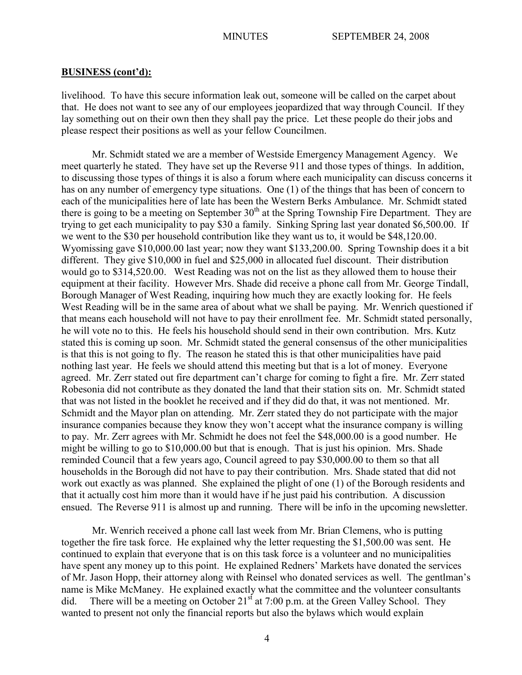livelihood. To have this secure information leak out, someone will be called on the carpet about that. He does not want to see any of our employees jeopardized that way through Council. If they lay something out on their own then they shall pay the price. Let these people do their jobs and please respect their positions as well as your fellow Councilmen.

Mr. Schmidt stated we are a member of Westside Emergency Management Agency. We meet quarterly he stated. They have set up the Reverse 911 and those types of things. In addition, to discussing those types of things it is also a forum where each municipality can discuss concerns it has on any number of emergency type situations. One (1) of the things that has been of concern to each of the municipalities here of late has been the Western Berks Ambulance. Mr. Schmidt stated there is going to be a meeting on September  $30<sup>th</sup>$  at the Spring Township Fire Department. They are trying to get each municipality to pay \$30 a family. Sinking Spring last year donated \$6,500.00. If we went to the \$30 per household contribution like they want us to, it would be \$48,120.00. Wyomissing gave \$10,000.00 last year; now they want \$133,200.00. Spring Township does it a bit different. They give \$10,000 in fuel and \$25,000 in allocated fuel discount. Their distribution would go to \$314,520.00. West Reading was not on the list as they allowed them to house their equipment at their facility. However Mrs. Shade did receive a phone call from Mr. George Tindall, Borough Manager of West Reading, inquiring how much they are exactly looking for. He feels West Reading will be in the same area of about what we shall be paying. Mr. Wenrich questioned if that means each household will not have to pay their enrollment fee. Mr. Schmidt stated personally, he will vote no to this. He feels his household should send in their own contribution. Mrs. Kutz stated this is coming up soon. Mr. Schmidt stated the general consensus of the other municipalities is that this is not going to fly. The reason he stated this is that other municipalities have paid nothing last year. He feels we should attend this meeting but that is a lot of money. Everyone agreed. Mr. Zerr stated out fire department can't charge for coming to fight a fire. Mr. Zerr stated Robesonia did not contribute as they donated the land that their station sits on. Mr. Schmidt stated that was not listed in the booklet he received and if they did do that, it was not mentioned. Mr. Schmidt and the Mayor plan on attending. Mr. Zerr stated they do not participate with the major insurance companies because they know they won't accept what the insurance company is willing to pay. Mr. Zerr agrees with Mr. Schmidt he does not feel the \$48,000.00 is a good number. He might be willing to go to \$10,000.00 but that is enough. That is just his opinion. Mrs. Shade reminded Council that a few years ago, Council agreed to pay \$30,000.00 to them so that all households in the Borough did not have to pay their contribution. Mrs. Shade stated that did not work out exactly as was planned. She explained the plight of one (1) of the Borough residents and that it actually cost him more than it would have if he just paid his contribution. A discussion ensued. The Reverse 911 is almost up and running. There will be info in the upcoming newsletter.

Mr. Wenrich received a phone call last week from Mr. Brian Clemens, who is putting together the fire task force. He explained why the letter requesting the \$1,500.00 was sent. He continued to explain that everyone that is on this task force is a volunteer and no municipalities have spent any money up to this point. He explained Redners' Markets have donated the services of Mr. Jason Hopp, their attorney along with Reinsel who donated services as well. The gentlman's name is Mike McManey. He explained exactly what the committee and the volunteer consultants did. There will be a meeting on October  $21<sup>st</sup>$  at 7:00 p.m. at the Green Valley School. They wanted to present not only the financial reports but also the bylaws which would explain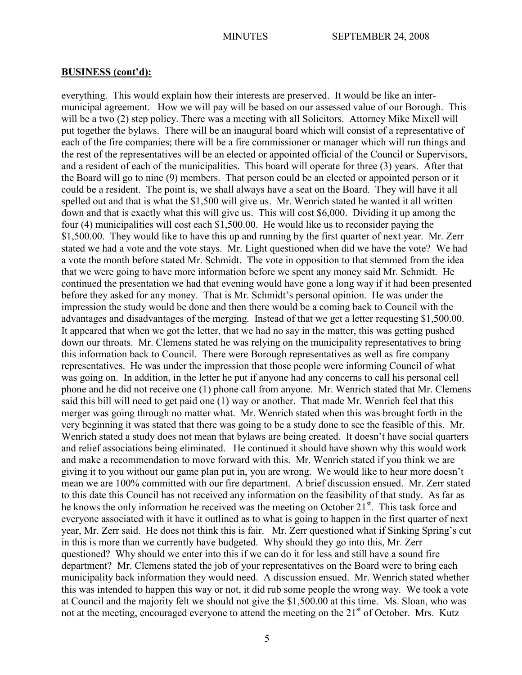everything. This would explain how their interests are preserved. It would be like an intermunicipal agreement. How we will pay will be based on our assessed value of our Borough. This will be a two (2) step policy. There was a meeting with all Solicitors. Attorney Mike Mixell will put together the bylaws. There will be an inaugural board which will consist of a representative of each of the fire companies; there will be a fire commissioner or manager which will run things and the rest of the representatives will be an elected or appointed official of the Council or Supervisors, and a resident of each of the municipalities. This board will operate for three (3) years. After that the Board will go to nine (9) members. That person could be an elected or appointed person or it could be a resident. The point is, we shall always have a seat on the Board. They will have it all spelled out and that is what the \$1,500 will give us. Mr. Wenrich stated he wanted it all written down and that is exactly what this will give us. This will cost \$6,000. Dividing it up among the four (4) municipalities will cost each \$1,500.00. He would like us to reconsider paying the \$1,500.00. They would like to have this up and running by the first quarter of next year. Mr. Zerr stated we had a vote and the vote stays. Mr. Light questioned when did we have the vote? We had a vote the month before stated Mr. Schmidt. The vote in opposition to that stemmed from the idea that we were going to have more information before we spent any money said Mr. Schmidt. He continued the presentation we had that evening would have gone a long way if it had been presented before they asked for any money. That is Mr. Schmidt's personal opinion. He was under the impression the study would be done and then there would be a coming back to Council with the advantages and disadvantages of the merging. Instead of that we get a letter requesting \$1,500.00. It appeared that when we got the letter, that we had no say in the matter, this was getting pushed down our throats. Mr. Clemens stated he was relying on the municipality representatives to bring this information back to Council. There were Borough representatives as well as fire company representatives. He was under the impression that those people were informing Council of what was going on. In addition, in the letter he put if anyone had any concerns to call his personal cell phone and he did not receive one (1) phone call from anyone. Mr. Wenrich stated that Mr. Clemens said this bill will need to get paid one (1) way or another. That made Mr. Wenrich feel that this merger was going through no matter what. Mr. Wenrich stated when this was brought forth in the very beginning it was stated that there was going to be a study done to see the feasible of this. Mr. Wenrich stated a study does not mean that bylaws are being created. It doesn't have social quarters and relief associations being eliminated. He continued it should have shown why this would work and make a recommendation to move forward with this. Mr. Wenrich stated if you think we are giving it to you without our game plan put in, you are wrong. We would like to hear more doesn't mean we are 100% committed with our fire department. A brief discussion ensued. Mr. Zerr stated to this date this Council has not received any information on the feasibility of that study. As far as he knows the only information he received was the meeting on October  $21<sup>st</sup>$ . This task force and everyone associated with it have it outlined as to what is going to happen in the first quarter of next year, Mr. Zerr said. He does not think this is fair. Mr. Zerr questioned what if Sinking Spring's cut in this is more than we currently have budgeted. Why should they go into this, Mr. Zerr questioned? Why should we enter into this if we can do it for less and still have a sound fire department? Mr. Clemens stated the job of your representatives on the Board were to bring each municipality back information they would need. A discussion ensued. Mr. Wenrich stated whether this was intended to happen this way or not, it did rub some people the wrong way. We took a vote at Council and the majority felt we should not give the \$1,500.00 at this time. Ms. Sloan, who was not at the meeting, encouraged everyone to attend the meeting on the 21<sup>st</sup> of October. Mrs. Kutz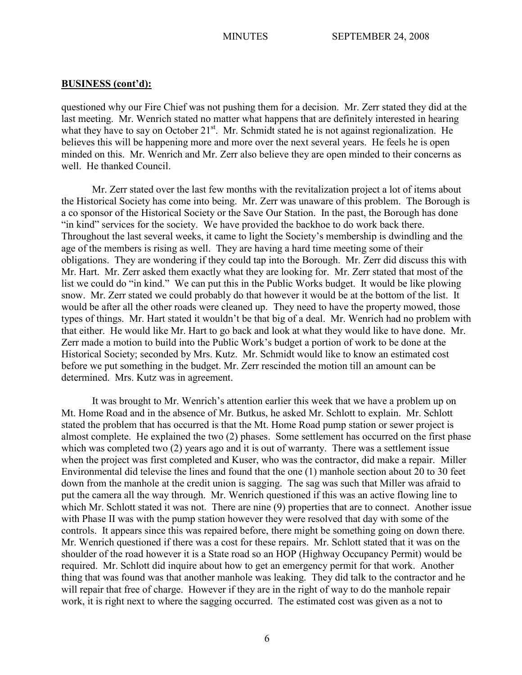questioned why our Fire Chief was not pushing them for a decision. Mr. Zerr stated they did at the last meeting. Mr. Wenrich stated no matter what happens that are definitely interested in hearing what they have to say on October 21<sup>st</sup>. Mr. Schmidt stated he is not against regionalization. He believes this will be happening more and more over the next several years. He feels he is open minded on this. Mr. Wenrich and Mr. Zerr also believe they are open minded to their concerns as well. He thanked Council.

Mr. Zerr stated over the last few months with the revitalization project a lot of items about the Historical Society has come into being. Mr. Zerr was unaware of this problem. The Borough is a co sponsor of the Historical Society or the Save Our Station. In the past, the Borough has done "in kind" services for the society. We have provided the backhoe to do work back there. Throughout the last several weeks, it came to light the Society's membership is dwindling and the age of the members is rising as well. They are having a hard time meeting some of their obligations. They are wondering if they could tap into the Borough. Mr. Zerr did discuss this with Mr. Hart. Mr. Zerr asked them exactly what they are looking for. Mr. Zerr stated that most of the list we could do "in kind." We can put this in the Public Works budget. It would be like plowing snow. Mr. Zerr stated we could probably do that however it would be at the bottom of the list. It would be after all the other roads were cleaned up. They need to have the property mowed, those types of things. Mr. Hart stated it wouldn't be that big of a deal. Mr. Wenrich had no problem with that either. He would like Mr. Hart to go back and look at what they would like to have done. Mr. Zerr made a motion to build into the Public Work's budget a portion of work to be done at the Historical Society; seconded by Mrs. Kutz. Mr. Schmidt would like to know an estimated cost before we put something in the budget. Mr. Zerr rescinded the motion till an amount can be determined. Mrs. Kutz was in agreement.

It was brought to Mr. Wenrich's attention earlier this week that we have a problem up on Mt. Home Road and in the absence of Mr. Butkus, he asked Mr. Schlott to explain. Mr. Schlott stated the problem that has occurred is that the Mt. Home Road pump station or sewer project is almost complete. He explained the two (2) phases. Some settlement has occurred on the first phase which was completed two (2) years ago and it is out of warranty. There was a settlement issue when the project was first completed and Kuser, who was the contractor, did make a repair. Miller Environmental did televise the lines and found that the one (1) manhole section about 20 to 30 feet down from the manhole at the credit union is sagging. The sag was such that Miller was afraid to put the camera all the way through. Mr. Wenrich questioned if this was an active flowing line to which Mr. Schlott stated it was not. There are nine (9) properties that are to connect. Another issue with Phase II was with the pump station however they were resolved that day with some of the controls. It appears since this was repaired before, there might be something going on down there. Mr. Wenrich questioned if there was a cost for these repairs. Mr. Schlott stated that it was on the shoulder of the road however it is a State road so an HOP (Highway Occupancy Permit) would be required. Mr. Schlott did inquire about how to get an emergency permit for that work. Another thing that was found was that another manhole was leaking. They did talk to the contractor and he will repair that free of charge. However if they are in the right of way to do the manhole repair work, it is right next to where the sagging occurred. The estimated cost was given as a not to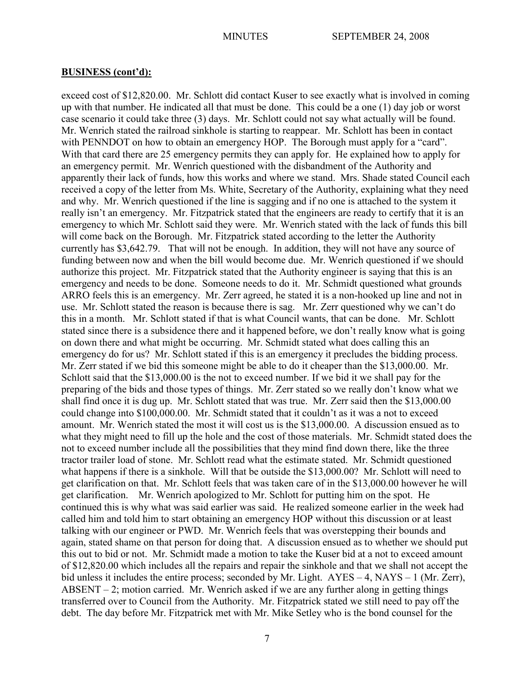exceed cost of \$12,820.00. Mr. Schlott did contact Kuser to see exactly what is involved in coming up with that number. He indicated all that must be done. This could be a one (1) day job or worst case scenario it could take three (3) days. Mr. Schlott could not say what actually will be found. Mr. Wenrich stated the railroad sinkhole is starting to reappear. Mr. Schlott has been in contact with PENNDOT on how to obtain an emergency HOP. The Borough must apply for a "card". With that card there are 25 emergency permits they can apply for. He explained how to apply for an emergency permit. Mr. Wenrich questioned with the disbandment of the Authority and apparently their lack of funds, how this works and where we stand. Mrs. Shade stated Council each received a copy of the letter from Ms. White, Secretary of the Authority, explaining what they need and why. Mr. Wenrich questioned if the line is sagging and if no one is attached to the system it really isn't an emergency. Mr. Fitzpatrick stated that the engineers are ready to certify that it is an emergency to which Mr. Schlott said they were. Mr. Wenrich stated with the lack of funds this bill will come back on the Borough. Mr. Fitzpatrick stated according to the letter the Authority currently has \$3,642.79. That will not be enough. In addition, they will not have any source of funding between now and when the bill would become due. Mr. Wenrich questioned if we should authorize this project. Mr. Fitzpatrick stated that the Authority engineer is saying that this is an emergency and needs to be done. Someone needs to do it. Mr. Schmidt questioned what grounds ARRO feels this is an emergency. Mr. Zerr agreed, he stated it is a non-hooked up line and not in use. Mr. Schlott stated the reason is because there is sag. Mr. Zerr questioned why we can't do this in a month. Mr. Schlott stated if that is what Council wants, that can be done. Mr. Schlott stated since there is a subsidence there and it happened before, we don't really know what is going on down there and what might be occurring. Mr. Schmidt stated what does calling this an emergency do for us? Mr. Schlott stated if this is an emergency it precludes the bidding process. Mr. Zerr stated if we bid this someone might be able to do it cheaper than the \$13,000.00. Mr. Schlott said that the \$13,000.00 is the not to exceed number. If we bid it we shall pay for the preparing of the bids and those types of things. Mr. Zerr stated so we really don't know what we shall find once it is dug up. Mr. Schlott stated that was true. Mr. Zerr said then the \$13,000.00 could change into \$100,000.00. Mr. Schmidt stated that it couldn't as it was a not to exceed amount. Mr. Wenrich stated the most it will cost us is the \$13,000.00. A discussion ensued as to what they might need to fill up the hole and the cost of those materials. Mr. Schmidt stated does the not to exceed number include all the possibilities that they mind find down there, like the three tractor trailer load of stone. Mr. Schlott read what the estimate stated. Mr. Schmidt questioned what happens if there is a sinkhole. Will that be outside the \$13,000.00? Mr. Schlott will need to get clarification on that. Mr. Schlott feels that was taken care of in the \$13,000.00 however he will get clarification. Mr. Wenrich apologized to Mr. Schlott for putting him on the spot. He continued this is why what was said earlier was said. He realized someone earlier in the week had called him and told him to start obtaining an emergency HOP without this discussion or at least talking with our engineer or PWD. Mr. Wenrich feels that was overstepping their bounds and again, stated shame on that person for doing that. A discussion ensued as to whether we should put this out to bid or not. Mr. Schmidt made a motion to take the Kuser bid at a not to exceed amount of \$12,820.00 which includes all the repairs and repair the sinkhole and that we shall not accept the bid unless it includes the entire process; seconded by Mr. Light. AYES – 4, NAYS – 1 (Mr. Zerr), ABSENT – 2; motion carried. Mr. Wenrich asked if we are any further along in getting things transferred over to Council from the Authority. Mr. Fitzpatrick stated we still need to pay off the debt. The day before Mr. Fitzpatrick met with Mr. Mike Setley who is the bond counsel for the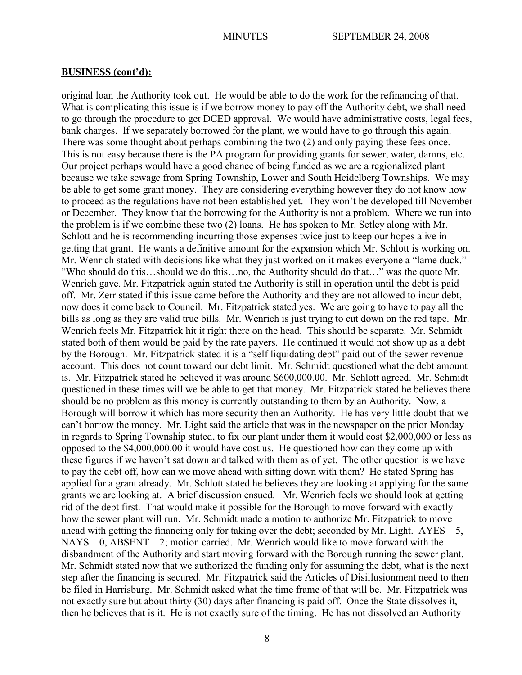original loan the Authority took out. He would be able to do the work for the refinancing of that. What is complicating this issue is if we borrow money to pay off the Authority debt, we shall need to go through the procedure to get DCED approval. We would have administrative costs, legal fees, bank charges. If we separately borrowed for the plant, we would have to go through this again. There was some thought about perhaps combining the two (2) and only paying these fees once. This is not easy because there is the PA program for providing grants for sewer, water, damns, etc. Our project perhaps would have a good chance of being funded as we are a regionalized plant because we take sewage from Spring Township, Lower and South Heidelberg Townships. We may be able to get some grant money. They are considering everything however they do not know how to proceed as the regulations have not been established yet. They won't be developed till November or December. They know that the borrowing for the Authority is not a problem. Where we run into the problem is if we combine these two (2) loans. He has spoken to Mr. Setley along with Mr. Schlott and he is recommending incurring those expenses twice just to keep our hopes alive in getting that grant. He wants a definitive amount for the expansion which Mr. Schlott is working on. Mr. Wenrich stated with decisions like what they just worked on it makes everyone a "lame duck." "Who should do this…should we do this…no, the Authority should do that…" was the quote Mr. Wenrich gave. Mr. Fitzpatrick again stated the Authority is still in operation until the debt is paid off. Mr. Zerr stated if this issue came before the Authority and they are not allowed to incur debt, now does it come back to Council. Mr. Fitzpatrick stated yes. We are going to have to pay all the bills as long as they are valid true bills. Mr. Wenrich is just trying to cut down on the red tape. Mr. Wenrich feels Mr. Fitzpatrick hit it right there on the head. This should be separate. Mr. Schmidt stated both of them would be paid by the rate payers. He continued it would not show up as a debt by the Borough. Mr. Fitzpatrick stated it is a "self liquidating debt" paid out of the sewer revenue account. This does not count toward our debt limit. Mr. Schmidt questioned what the debt amount is. Mr. Fitzpatrick stated he believed it was around \$600,000.00. Mr. Schlott agreed. Mr. Schmidt questioned in these times will we be able to get that money. Mr. Fitzpatrick stated he believes there should be no problem as this money is currently outstanding to them by an Authority. Now, a Borough will borrow it which has more security then an Authority. He has very little doubt that we can't borrow the money. Mr. Light said the article that was in the newspaper on the prior Monday in regards to Spring Township stated, to fix our plant under them it would cost \$2,000,000 or less as opposed to the \$4,000,000.00 it would have cost us. He questioned how can they come up with these figures if we haven't sat down and talked with them as of yet. The other question is we have to pay the debt off, how can we move ahead with sitting down with them? He stated Spring has applied for a grant already. Mr. Schlott stated he believes they are looking at applying for the same grants we are looking at. A brief discussion ensued. Mr. Wenrich feels we should look at getting rid of the debt first. That would make it possible for the Borough to move forward with exactly how the sewer plant will run. Mr. Schmidt made a motion to authorize Mr. Fitzpatrick to move ahead with getting the financing only for taking over the debt; seconded by Mr. Light.  $AYES - 5$ ,  $NAYS - 0$ ,  $ABSENT - 2$ ; motion carried. Mr. Wenrich would like to move forward with the disbandment of the Authority and start moving forward with the Borough running the sewer plant. Mr. Schmidt stated now that we authorized the funding only for assuming the debt, what is the next step after the financing is secured. Mr. Fitzpatrick said the Articles of Disillusionment need to then be filed in Harrisburg. Mr. Schmidt asked what the time frame of that will be. Mr. Fitzpatrick was not exactly sure but about thirty (30) days after financing is paid off. Once the State dissolves it, then he believes that is it. He is not exactly sure of the timing. He has not dissolved an Authority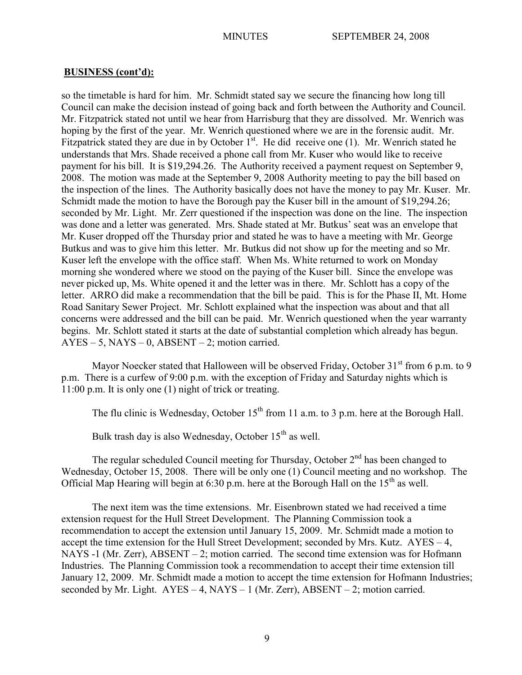so the timetable is hard for him. Mr. Schmidt stated say we secure the financing how long till Council can make the decision instead of going back and forth between the Authority and Council. Mr. Fitzpatrick stated not until we hear from Harrisburg that they are dissolved. Mr. Wenrich was hoping by the first of the year. Mr. Wenrich questioned where we are in the forensic audit. Mr. Fitzpatrick stated they are due in by October  $1<sup>st</sup>$ . He did receive one (1). Mr. Wenrich stated he understands that Mrs. Shade received a phone call from Mr. Kuser who would like to receive payment for his bill. It is \$19,294.26. The Authority received a payment request on September 9, 2008. The motion was made at the September 9, 2008 Authority meeting to pay the bill based on the inspection of the lines. The Authority basically does not have the money to pay Mr. Kuser. Mr. Schmidt made the motion to have the Borough pay the Kuser bill in the amount of \$19,294.26; seconded by Mr. Light. Mr. Zerr questioned if the inspection was done on the line. The inspection was done and a letter was generated. Mrs. Shade stated at Mr. Butkus' seat was an envelope that Mr. Kuser dropped off the Thursday prior and stated he was to have a meeting with Mr. George Butkus and was to give him this letter. Mr. Butkus did not show up for the meeting and so Mr. Kuser left the envelope with the office staff. When Ms. White returned to work on Monday morning she wondered where we stood on the paying of the Kuser bill. Since the envelope was never picked up, Ms. White opened it and the letter was in there. Mr. Schlott has a copy of the letter. ARRO did make a recommendation that the bill be paid. This is for the Phase II, Mt. Home Road Sanitary Sewer Project. Mr. Schlott explained what the inspection was about and that all concerns were addressed and the bill can be paid. Mr. Wenrich questioned when the year warranty begins. Mr. Schlott stated it starts at the date of substantial completion which already has begun.  $AYES - 5$ ,  $NAYS - 0$ ,  $ABSENT - 2$ ; motion carried.

Mayor Noecker stated that Halloween will be observed Friday, October  $31<sup>st</sup>$  from 6 p.m. to 9 p.m. There is a curfew of 9:00 p.m. with the exception of Friday and Saturday nights which is 11:00 p.m. It is only one (1) night of trick or treating.

The flu clinic is Wednesday, October  $15<sup>th</sup>$  from 11 a.m. to 3 p.m. here at the Borough Hall.

Bulk trash day is also Wednesday, October  $15<sup>th</sup>$  as well.

The regular scheduled Council meeting for Thursday, October  $2<sup>nd</sup>$  has been changed to Wednesday, October 15, 2008. There will be only one (1) Council meeting and no workshop. The Official Map Hearing will begin at 6:30 p.m. here at the Borough Hall on the  $15<sup>th</sup>$  as well.

The next item was the time extensions. Mr. Eisenbrown stated we had received a time extension request for the Hull Street Development. The Planning Commission took a recommendation to accept the extension until January 15, 2009. Mr. Schmidt made a motion to accept the time extension for the Hull Street Development; seconded by Mrs. Kutz. AYES – 4, NAYS -1 (Mr. Zerr), ABSENT – 2; motion carried. The second time extension was for Hofmann Industries. The Planning Commission took a recommendation to accept their time extension till January 12, 2009. Mr. Schmidt made a motion to accept the time extension for Hofmann Industries; seconded by Mr. Light. AYES – 4, NAYS – 1 (Mr. Zerr), ABSENT – 2; motion carried.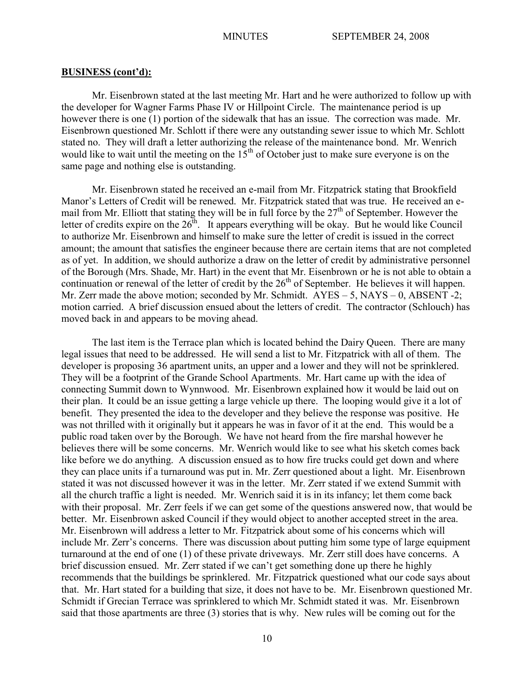Mr. Eisenbrown stated at the last meeting Mr. Hart and he were authorized to follow up with the developer for Wagner Farms Phase IV or Hillpoint Circle. The maintenance period is up however there is one (1) portion of the sidewalk that has an issue. The correction was made. Mr. Eisenbrown questioned Mr. Schlott if there were any outstanding sewer issue to which Mr. Schlott stated no. They will draft a letter authorizing the release of the maintenance bond. Mr. Wenrich would like to wait until the meeting on the  $15<sup>th</sup>$  of October just to make sure everyone is on the same page and nothing else is outstanding.

Mr. Eisenbrown stated he received an e-mail from Mr. Fitzpatrick stating that Brookfield Manor's Letters of Credit will be renewed. Mr. Fitzpatrick stated that was true. He received an email from Mr. Elliott that stating they will be in full force by the  $27<sup>th</sup>$  of September. However the letter of credits expire on the  $26<sup>th</sup>$ . It appears everything will be okay. But he would like Council to authorize Mr. Eisenbrown and himself to make sure the letter of credit is issued in the correct amount; the amount that satisfies the engineer because there are certain items that are not completed as of yet. In addition, we should authorize a draw on the letter of credit by administrative personnel of the Borough (Mrs. Shade, Mr. Hart) in the event that Mr. Eisenbrown or he is not able to obtain a continuation or renewal of the letter of credit by the  $26<sup>th</sup>$  of September. He believes it will happen. Mr. Zerr made the above motion; seconded by Mr. Schmidt. AYES – 5, NAYS – 0, ABSENT -2; motion carried. A brief discussion ensued about the letters of credit. The contractor (Schlouch) has moved back in and appears to be moving ahead.

The last item is the Terrace plan which is located behind the Dairy Queen. There are many legal issues that need to be addressed. He will send a list to Mr. Fitzpatrick with all of them. The developer is proposing 36 apartment units, an upper and a lower and they will not be sprinklered. They will be a footprint of the Grande School Apartments. Mr. Hart came up with the idea of connecting Summit down to Wynnwood. Mr. Eisenbrown explained how it would be laid out on their plan. It could be an issue getting a large vehicle up there. The looping would give it a lot of benefit. They presented the idea to the developer and they believe the response was positive. He was not thrilled with it originally but it appears he was in favor of it at the end. This would be a public road taken over by the Borough. We have not heard from the fire marshal however he believes there will be some concerns. Mr. Wenrich would like to see what his sketch comes back like before we do anything. A discussion ensued as to how fire trucks could get down and where they can place units if a turnaround was put in. Mr. Zerr questioned about a light. Mr. Eisenbrown stated it was not discussed however it was in the letter. Mr. Zerr stated if we extend Summit with all the church traffic a light is needed. Mr. Wenrich said it is in its infancy; let them come back with their proposal. Mr. Zerr feels if we can get some of the questions answered now, that would be better. Mr. Eisenbrown asked Council if they would object to another accepted street in the area. Mr. Eisenbrown will address a letter to Mr. Fitzpatrick about some of his concerns which will include Mr. Zerr's concerns. There was discussion about putting him some type of large equipment turnaround at the end of one (1) of these private driveways. Mr. Zerr still does have concerns. A brief discussion ensued. Mr. Zerr stated if we can't get something done up there he highly recommends that the buildings be sprinklered. Mr. Fitzpatrick questioned what our code says about that. Mr. Hart stated for a building that size, it does not have to be. Mr. Eisenbrown questioned Mr. Schmidt if Grecian Terrace was sprinklered to which Mr. Schmidt stated it was. Mr. Eisenbrown said that those apartments are three (3) stories that is why. New rules will be coming out for the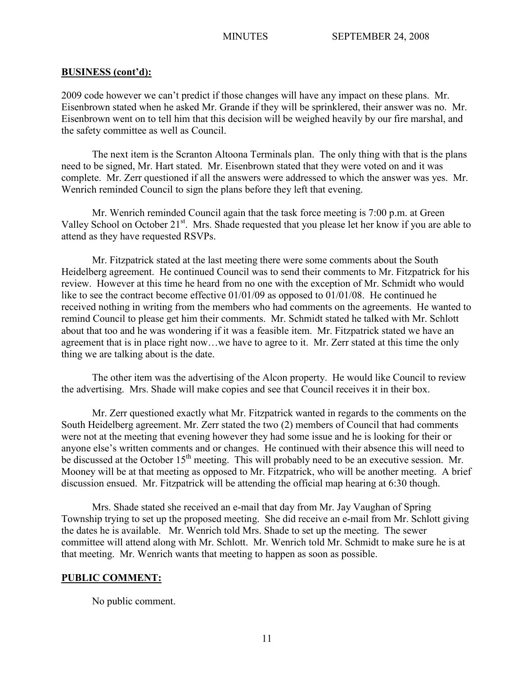2009 code however we can't predict if those changes will have any impact on these plans. Mr. Eisenbrown stated when he asked Mr. Grande if they will be sprinklered, their answer was no. Mr. Eisenbrown went on to tell him that this decision will be weighed heavily by our fire marshal, and the safety committee as well as Council.

The next item is the Scranton Altoona Terminals plan. The only thing with that is the plans need to be signed, Mr. Hart stated. Mr. Eisenbrown stated that they were voted on and it was complete. Mr. Zerr questioned if all the answers were addressed to which the answer was yes. Mr. Wenrich reminded Council to sign the plans before they left that evening.

Mr. Wenrich reminded Council again that the task force meeting is 7:00 p.m. at Green Valley School on October 21<sup>st</sup>. Mrs. Shade requested that you please let her know if you are able to attend as they have requested RSVPs.

 Mr. Fitzpatrick stated at the last meeting there were some comments about the South Heidelberg agreement. He continued Council was to send their comments to Mr. Fitzpatrick for his review. However at this time he heard from no one with the exception of Mr. Schmidt who would like to see the contract become effective 01/01/09 as opposed to 01/01/08. He continued he received nothing in writing from the members who had comments on the agreements. He wanted to remind Council to please get him their comments. Mr. Schmidt stated he talked with Mr. Schlott about that too and he was wondering if it was a feasible item. Mr. Fitzpatrick stated we have an agreement that is in place right now…we have to agree to it. Mr. Zerr stated at this time the only thing we are talking about is the date.

The other item was the advertising of the Alcon property. He would like Council to review the advertising. Mrs. Shade will make copies and see that Council receives it in their box.

Mr. Zerr questioned exactly what Mr. Fitzpatrick wanted in regards to the comments on the South Heidelberg agreement. Mr. Zerr stated the two (2) members of Council that had comments were not at the meeting that evening however they had some issue and he is looking for their or anyone else's written comments and or changes. He continued with their absence this will need to be discussed at the October 15<sup>th</sup> meeting. This will probably need to be an executive session. Mr. Mooney will be at that meeting as opposed to Mr. Fitzpatrick, who will be another meeting. A brief discussion ensued. Mr. Fitzpatrick will be attending the official map hearing at 6:30 though.

Mrs. Shade stated she received an e-mail that day from Mr. Jay Vaughan of Spring Township trying to set up the proposed meeting. She did receive an e-mail from Mr. Schlott giving the dates he is available. Mr. Wenrich told Mrs. Shade to set up the meeting. The sewer committee will attend along with Mr. Schlott. Mr. Wenrich told Mr. Schmidt to make sure he is at that meeting. Mr. Wenrich wants that meeting to happen as soon as possible.

## **PUBLIC COMMENT:**

No public comment.